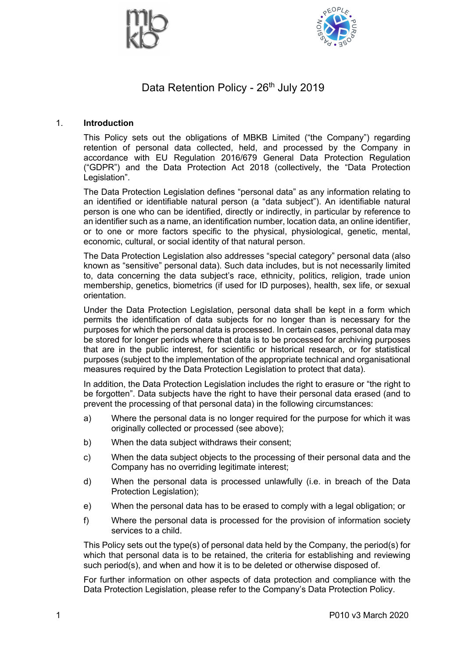



# Data Retention Policy - 26<sup>th</sup> July 2019

#### 1. **Introduction**

This Policy sets out the obligations of MBKB Limited ("the Company") regarding retention of personal data collected, held, and processed by the Company in accordance with EU Regulation 2016/679 General Data Protection Regulation ("GDPR") and the Data Protection Act 2018 (collectively, the "Data Protection Legislation".

The Data Protection Legislation defines "personal data" as any information relating to an identified or identifiable natural person (a "data subject"). An identifiable natural person is one who can be identified, directly or indirectly, in particular by reference to an identifier such as a name, an identification number, location data, an online identifier, or to one or more factors specific to the physical, physiological, genetic, mental, economic, cultural, or social identity of that natural person.

The Data Protection Legislation also addresses "special category" personal data (also known as "sensitive" personal data). Such data includes, but is not necessarily limited to, data concerning the data subject's race, ethnicity, politics, religion, trade union membership, genetics, biometrics (if used for ID purposes), health, sex life, or sexual orientation.

Under the Data Protection Legislation, personal data shall be kept in a form which permits the identification of data subjects for no longer than is necessary for the purposes for which the personal data is processed. In certain cases, personal data may be stored for longer periods where that data is to be processed for archiving purposes that are in the public interest, for scientific or historical research, or for statistical purposes (subject to the implementation of the appropriate technical and organisational measures required by the Data Protection Legislation to protect that data).

In addition, the Data Protection Legislation includes the right to erasure or "the right to be forgotten". Data subjects have the right to have their personal data erased (and to prevent the processing of that personal data) in the following circumstances:

- a) Where the personal data is no longer required for the purpose for which it was originally collected or processed (see above);
- b) When the data subject withdraws their consent;
- c) When the data subject objects to the processing of their personal data and the Company has no overriding legitimate interest;
- d) When the personal data is processed unlawfully (i.e. in breach of the Data Protection Legislation);
- e) When the personal data has to be erased to comply with a legal obligation; or
- f) Where the personal data is processed for the provision of information society services to a child.

This Policy sets out the type(s) of personal data held by the Company, the period(s) for which that personal data is to be retained, the criteria for establishing and reviewing such period(s), and when and how it is to be deleted or otherwise disposed of.

For further information on other aspects of data protection and compliance with the Data Protection Legislation, please refer to the Company's Data Protection Policy.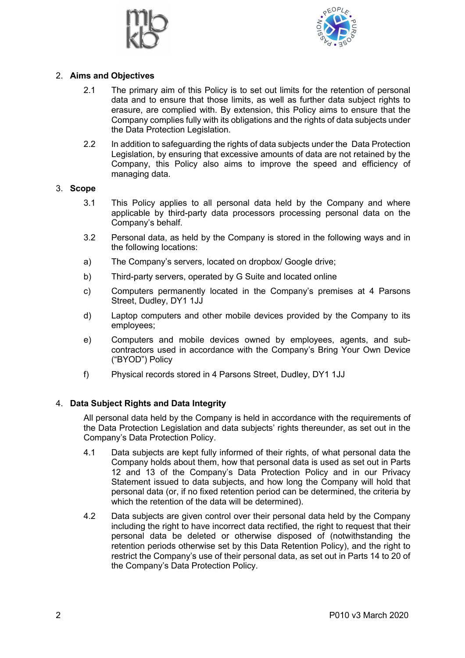



# 2. **Aims and Objectives**

- 2.1 The primary aim of this Policy is to set out limits for the retention of personal data and to ensure that those limits, as well as further data subject rights to erasure, are complied with. By extension, this Policy aims to ensure that the Company complies fully with its obligations and the rights of data subjects under the Data Protection Legislation.
- 2.2 In addition to safeguarding the rights of data subiects under the Data Protection Legislation, by ensuring that excessive amounts of data are not retained by the Company, this Policy also aims to improve the speed and efficiency of managing data.

### 3. **Scope**

- 3.1 This Policy applies to all personal data held by the Company and where applicable by third-party data processors processing personal data on the Company's behalf.
- 3.2 Personal data, as held by the Company is stored in the following ways and in the following locations:
- a) The Company's servers, located on dropbox/ Google drive;
- b) Third-party servers, operated by G Suite and located online
- c) Computers permanently located in the Company's premises at 4 Parsons Street, Dudley, DY1 1JJ
- d) Laptop computers and other mobile devices provided by the Company to its employees;
- e) Computers and mobile devices owned by employees, agents, and subcontractors used in accordance with the Company's Bring Your Own Device ("BYOD") Policy
- f) Physical records stored in 4 Parsons Street, Dudley, DY1 1JJ

# 4. **Data Subject Rights and Data Integrity**

All personal data held by the Company is held in accordance with the requirements of the Data Protection Legislation and data subjects' rights thereunder, as set out in the Company's Data Protection Policy.

- 4.1 Data subjects are kept fully informed of their rights, of what personal data the Company holds about them, how that personal data is used as set out in Parts 12 and 13 of the Company's Data Protection Policy and in our Privacy Statement issued to data subjects, and how long the Company will hold that personal data (or, if no fixed retention period can be determined, the criteria by which the retention of the data will be determined).
- 4.2 Data subjects are given control over their personal data held by the Company including the right to have incorrect data rectified, the right to request that their personal data be deleted or otherwise disposed of (notwithstanding the retention periods otherwise set by this Data Retention Policy), and the right to restrict the Company's use of their personal data, as set out in Parts 14 to 20 of the Company's Data Protection Policy.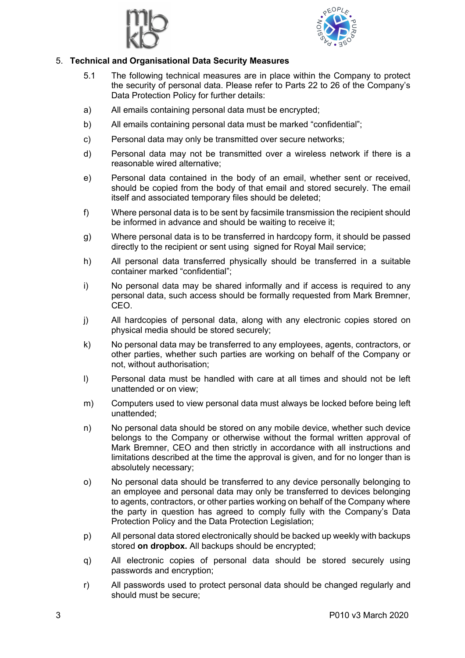



# 5. **Technical and Organisational Data Security Measures**

- 5.1 The following technical measures are in place within the Company to protect the security of personal data. Please refer to Parts 22 to 26 of the Company's Data Protection Policy for further details:
- a) All emails containing personal data must be encrypted;
- b) All emails containing personal data must be marked "confidential";
- c) Personal data may only be transmitted over secure networks;
- d) Personal data may not be transmitted over a wireless network if there is a reasonable wired alternative;
- e) Personal data contained in the body of an email, whether sent or received, should be copied from the body of that email and stored securely. The email itself and associated temporary files should be deleted;
- f) Where personal data is to be sent by facsimile transmission the recipient should be informed in advance and should be waiting to receive it;
- g) Where personal data is to be transferred in hardcopy form, it should be passed directly to the recipient or sent using signed for Royal Mail service;
- h) All personal data transferred physically should be transferred in a suitable container marked "confidential";
- i) No personal data may be shared informally and if access is required to any personal data, such access should be formally requested from Mark Bremner, CEO.
- j) All hardcopies of personal data, along with any electronic copies stored on physical media should be stored securely;
- k) No personal data may be transferred to any employees, agents, contractors, or other parties, whether such parties are working on behalf of the Company or not, without authorisation;
- l) Personal data must be handled with care at all times and should not be left unattended or on view;
- m) Computers used to view personal data must always be locked before being left unattended;
- n) No personal data should be stored on any mobile device, whether such device belongs to the Company or otherwise without the formal written approval of Mark Bremner, CEO and then strictly in accordance with all instructions and limitations described at the time the approval is given, and for no longer than is absolutely necessary;
- o) No personal data should be transferred to any device personally belonging to an employee and personal data may only be transferred to devices belonging to agents, contractors, or other parties working on behalf of the Company where the party in question has agreed to comply fully with the Company's Data Protection Policy and the Data Protection Legislation;
- p) All personal data stored electronically should be backed up weekly with backups stored **on dropbox.** All backups should be encrypted;
- q) All electronic copies of personal data should be stored securely using passwords and encryption;
- r) All passwords used to protect personal data should be changed regularly and should must be secure;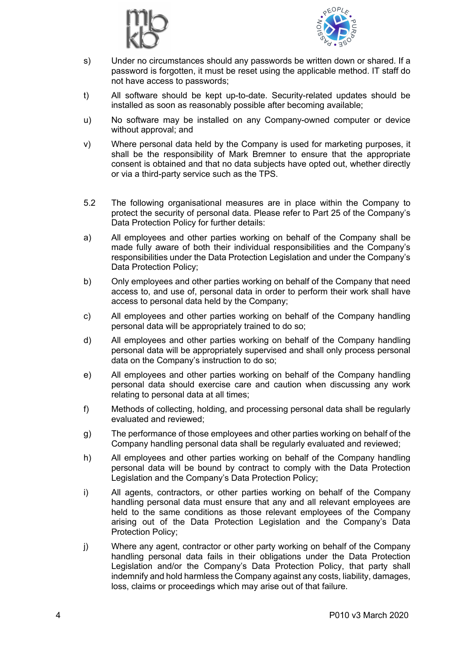



- s) Under no circumstances should any passwords be written down or shared. If a password is forgotten, it must be reset using the applicable method. IT staff do not have access to passwords;
- t) All software should be kept up-to-date. Security-related updates should be installed as soon as reasonably possible after becoming available;
- u) No software may be installed on any Company-owned computer or device without approval; and
- v) Where personal data held by the Company is used for marketing purposes, it shall be the responsibility of Mark Bremner to ensure that the appropriate consent is obtained and that no data subjects have opted out, whether directly or via a third-party service such as the TPS.
- 5.2 The following organisational measures are in place within the Company to protect the security of personal data. Please refer to Part 25 of the Company's Data Protection Policy for further details:
- a) All employees and other parties working on behalf of the Company shall be made fully aware of both their individual responsibilities and the Company's responsibilities under the Data Protection Legislation and under the Company's Data Protection Policy;
- b) Only employees and other parties working on behalf of the Company that need access to, and use of, personal data in order to perform their work shall have access to personal data held by the Company;
- c) All employees and other parties working on behalf of the Company handling personal data will be appropriately trained to do so;
- d) All employees and other parties working on behalf of the Company handling personal data will be appropriately supervised and shall only process personal data on the Company's instruction to do so;
- e) All employees and other parties working on behalf of the Company handling personal data should exercise care and caution when discussing any work relating to personal data at all times;
- f) Methods of collecting, holding, and processing personal data shall be regularly evaluated and reviewed;
- g) The performance of those employees and other parties working on behalf of the Company handling personal data shall be regularly evaluated and reviewed;
- h) All employees and other parties working on behalf of the Company handling personal data will be bound by contract to comply with the Data Protection Legislation and the Company's Data Protection Policy;
- i) All agents, contractors, or other parties working on behalf of the Company handling personal data must ensure that any and all relevant employees are held to the same conditions as those relevant employees of the Company arising out of the Data Protection Legislation and the Company's Data Protection Policy;
- j) Where any agent, contractor or other party working on behalf of the Company handling personal data fails in their obligations under the Data Protection Legislation and/or the Company's Data Protection Policy, that party shall indemnify and hold harmless the Company against any costs, liability, damages, loss, claims or proceedings which may arise out of that failure.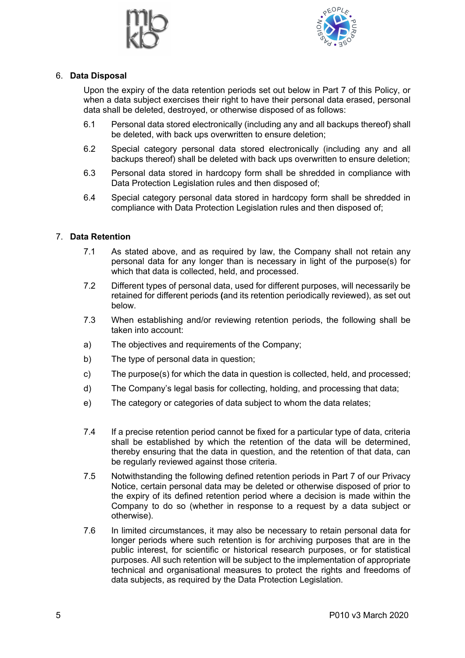



### 6. **Data Disposal**

Upon the expiry of the data retention periods set out below in Part 7 of this Policy, or when a data subject exercises their right to have their personal data erased, personal data shall be deleted, destroyed, or otherwise disposed of as follows:

- 6.1 Personal data stored electronically (including any and all backups thereof) shall be deleted, with back ups overwritten to ensure deletion;
- 6.2 Special category personal data stored electronically (including any and all backups thereof) shall be deleted with back ups overwritten to ensure deletion;
- 6.3 Personal data stored in hardcopy form shall be shredded in compliance with Data Protection Legislation rules and then disposed of;
- 6.4 Special category personal data stored in hardcopy form shall be shredded in compliance with Data Protection Legislation rules and then disposed of;

# 7. **Data Retention**

- 7.1 As stated above, and as required by law, the Company shall not retain any personal data for any longer than is necessary in light of the purpose(s) for which that data is collected, held, and processed.
- 7.2 Different types of personal data, used for different purposes, will necessarily be retained for different periods **(**and its retention periodically reviewed), as set out below.
- 7.3 When establishing and/or reviewing retention periods, the following shall be taken into account:
- a) The objectives and requirements of the Company;
- b) The type of personal data in question;
- c) The purpose(s) for which the data in question is collected, held, and processed;
- d) The Company's legal basis for collecting, holding, and processing that data;
- e) The category or categories of data subject to whom the data relates;
- 7.4 If a precise retention period cannot be fixed for a particular type of data, criteria shall be established by which the retention of the data will be determined, thereby ensuring that the data in question, and the retention of that data, can be regularly reviewed against those criteria.
- 7.5 Notwithstanding the following defined retention periods in Part 7 of our Privacy Notice, certain personal data may be deleted or otherwise disposed of prior to the expiry of its defined retention period where a decision is made within the Company to do so (whether in response to a request by a data subject or otherwise).
- 7.6 In limited circumstances, it may also be necessary to retain personal data for longer periods where such retention is for archiving purposes that are in the public interest, for scientific or historical research purposes, or for statistical purposes. All such retention will be subject to the implementation of appropriate technical and organisational measures to protect the rights and freedoms of data subjects, as required by the Data Protection Legislation.